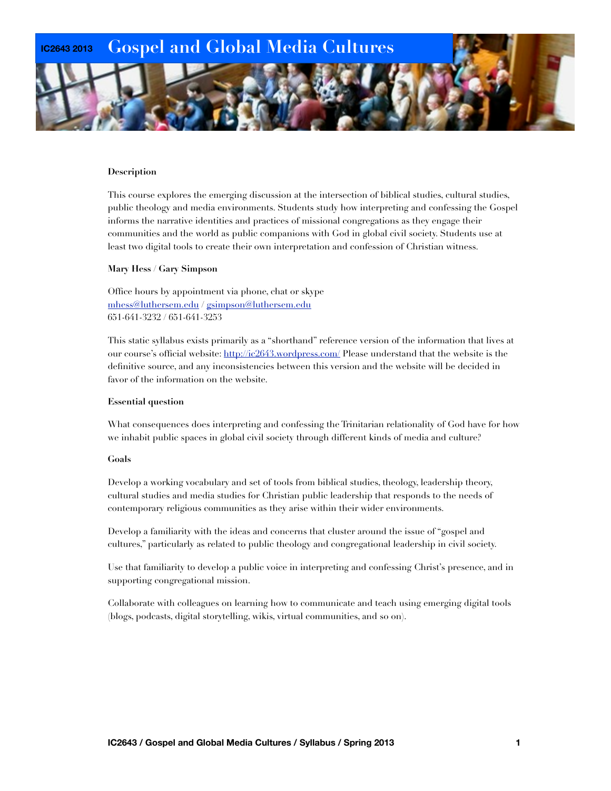## **IC2643 2013 Gospel and Global Media Cultures**



## **Description**

This course explores the emerging discussion at the intersection of biblical studies, cultural studies, public theology and media environments. Students study how interpreting and confessing the Gospel informs the narrative identities and practices of missional congregations as they engage their communities and the world as public companions with God in global civil society. Students use at least two digital tools to create their own interpretation and confession of Christian witness.

### **Mary Hess / Gary Simpson**

Office hours by appointment via phone, chat or skype [mhess@luthersem.edu](mailto:mhess@luthersem.edu) / [gsimpson@luthersem.edu](mailto:gsimpson@luthersem.edu) 651-641-3232 / 651-641-3253

This static syllabus exists primarily as a "shorthand" reference version of the information that lives at our course's official website:<http://ic2643.wordpress.com/>Please understand that the website is the definitive source, and any inconsistencies between this version and the website will be decided in favor of the information on the website.

## **Essential question**

What consequences does interpreting and confessing the Trinitarian relationality of God have for how we inhabit public spaces in global civil society through different kinds of media and culture?

#### **Goals**

Develop a working vocabulary and set of tools from biblical studies, theology, leadership theory, cultural studies and media studies for Christian public leadership that responds to the needs of contemporary religious communities as they arise within their wider environments.

Develop a familiarity with the ideas and concerns that cluster around the issue of "gospel and cultures," particularly as related to public theology and congregational leadership in civil society.

Use that familiarity to develop a public voice in interpreting and confessing Christ's presence, and in supporting congregational mission.

Collaborate with colleagues on learning how to communicate and teach using emerging digital tools (blogs, podcasts, digital storytelling, wikis, virtual communities, and so on).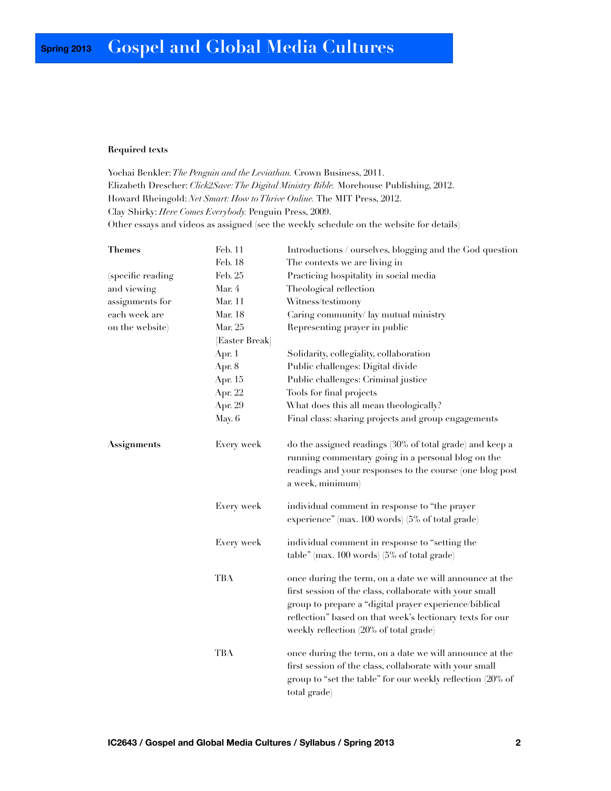## **Spring 2013 Gospel and Global Media Cultures**

## **Required texts**

Yochai Benkler: *The Penguin and the Leviathan.* Crown Business, 2011. Elizabeth Drescher: *Click2Save: The Digital Ministry Bible.* Morehouse Publishing, 2012. Howard Rheingold: *Net Smart: How to Thrive Online.* The MIT Press, 2012. Clay Shirky: *Here Comes Everybody.* Penguin Press, 2009. Other essays and videos as assigned (see the weekly schedule on the website for details)

| Themes            | Feb. 11        | Introductions / ourselves, blogging and the God question                                                                                                                                                                                                                            |
|-------------------|----------------|-------------------------------------------------------------------------------------------------------------------------------------------------------------------------------------------------------------------------------------------------------------------------------------|
|                   | Feb. 18        | The contexts we are living in                                                                                                                                                                                                                                                       |
| (specific reading | Feb. 25        | Practicing hospitality in social media                                                                                                                                                                                                                                              |
| and viewing       | Mar. 4         | Theological reflection                                                                                                                                                                                                                                                              |
| assignments for   | Mar. 11        | Witness/testimony                                                                                                                                                                                                                                                                   |
| each week are     | <b>Mar. 18</b> | Caring community/lay mutual ministry                                                                                                                                                                                                                                                |
| on the website)   | Mar. 25        | Representing prayer in public                                                                                                                                                                                                                                                       |
|                   | [Easter Break] |                                                                                                                                                                                                                                                                                     |
|                   | Apr. 1         | Solidarity, collegiality, collaboration                                                                                                                                                                                                                                             |
|                   | Apr. 8         | Public challenges: Digital divide                                                                                                                                                                                                                                                   |
|                   | Apr. 15        | Public challenges: Criminal justice                                                                                                                                                                                                                                                 |
|                   | Apr. 22        | Tools for final projects                                                                                                                                                                                                                                                            |
|                   | Apr. 29        | What does this all mean theologically?                                                                                                                                                                                                                                              |
|                   | May. 6         | Final class: sharing projects and group engagements                                                                                                                                                                                                                                 |
| Assignments       | Every week     | do the assigned readings (30% of total grade) and keep a<br>running commentary going in a personal blog on the<br>readings and your responses to the course (one blog post<br>a week, minimum)                                                                                      |
|                   | Every week     | individual comment in response to "the prayer<br>experience" (max. 100 words) (5% of total grade)                                                                                                                                                                                   |
|                   | Every week     | individual comment in response to "setting the<br>table" (max. 100 words) (5% of total grade)                                                                                                                                                                                       |
|                   | <b>TBA</b>     | once during the term, on a date we will announce at the<br>first session of the class, collaborate with your small<br>group to prepare a "digital prayer experience/biblical<br>reflection" based on that week's lectionary texts for our<br>weekly reflection (20% of total grade) |
|                   | <b>TBA</b>     | once during the term, on a date we will announce at the<br>first session of the class, collaborate with your small<br>group to "set the table" for our weekly reflection (20% of<br>total grade)                                                                                    |